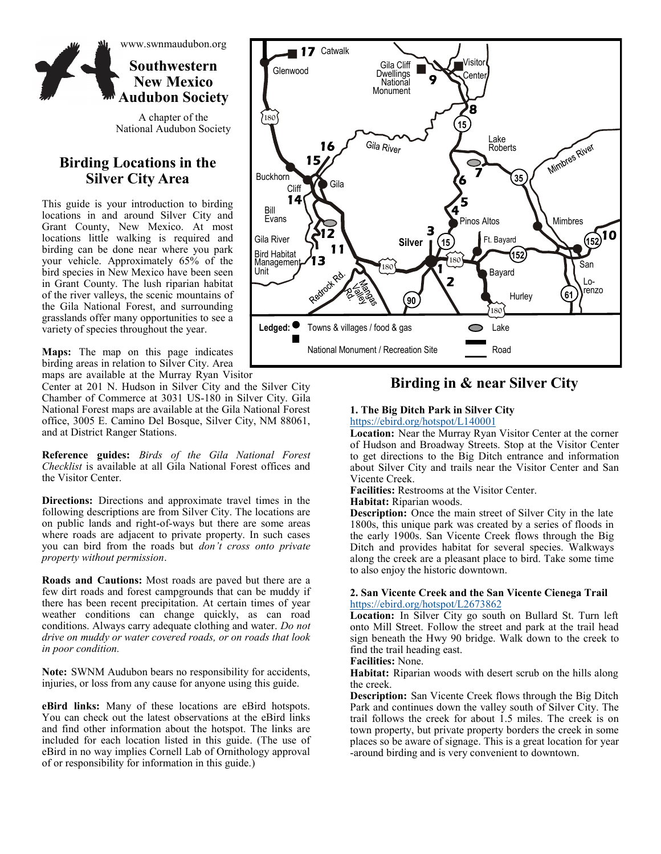

A chapter of the National Audubon Society

## **Birding Locations in the Silver City Area**

This guide is your introduction to birding locations in and around Silver City and Grant County, New Mexico. At most locations little walking is required and birding can be done near where you park your vehicle. Approximately 65% of the bird species in New Mexico have been seen in Grant County. The lush riparian habitat of the river valleys, the scenic mountains of the Gila National Forest, and surrounding grasslands offer many opportunities to see a variety of species throughout the year.

**Maps:** The map on this page indicates birding areas in relation to Silver City. Area maps are available at the Murray Ryan Visitor

Center at 201 N. Hudson in Silver City and the Silver City Chamber of Commerce at 3031 US-180 in Silver City. Gila National Forest maps are available at the Gila National Forest office, 3005 E. Camino Del Bosque, Silver City, NM 88061, and at District Ranger Stations.

**Reference guides:** *Birds of the Gila National Forest Checklist* is available at all Gila National Forest offices and the Visitor Center.

**Directions:** Directions and approximate travel times in the following descriptions are from Silver City. The locations are on public lands and right-of-ways but there are some areas where roads are adjacent to private property. In such cases you can bird from the roads but *don't cross onto private property without permission*.

**Roads and Cautions:** Most roads are paved but there are a few dirt roads and forest campgrounds that can be muddy if there has been recent precipitation. At certain times of year weather conditions can change quickly, as can road conditions. Always carry adequate clothing and water. *Do not drive on muddy or water covered roads, or on roads that look in poor condition.* 

**Note:** SWNM Audubon bears no responsibility for accidents, injuries, or loss from any cause for anyone using this guide.

**eBird links:** Many of these locations are eBird hotspots. You can check out the latest observations at the eBird links and find other information about the hotspot. The links are included for each location listed in this guide. (The use of eBird in no way implies Cornell Lab of Ornithology approval of or responsibility for information in this guide.)



## **Birding in & near Silver City**

## **1. The Big Ditch Park in Silver City**

<https://ebird.org/hotspot/L140001>

**Location:** Near the Murray Ryan Visitor Center at the corner of Hudson and Broadway Streets. Stop at the Visitor Center to get directions to the Big Ditch entrance and information about Silver City and trails near the Visitor Center and San Vicente Creek.

**Facilities:** Restrooms at the Visitor Center.

#### **Habitat:** Riparian woods.

**Description:** Once the main street of Silver City in the late 1800s, this unique park was created by a series of floods in the early 1900s. San Vicente Creek flows through the Big Ditch and provides habitat for several species. Walkways along the creek are a pleasant place to bird. Take some time to also enjoy the historic downtown.

### **2. San Vicente Creek and the San Vicente Cienega Trail**  <https://ebird.org/hotspot/L2673862>

**Location:** In Silver City go south on Bullard St. Turn left onto Mill Street. Follow the street and park at the trail head sign beneath the Hwy 90 bridge. Walk down to the creek to find the trail heading east.

#### **Facilities:** None.

**Habitat:** Riparian woods with desert scrub on the hills along the creek.

**Description:** San Vicente Creek flows through the Big Ditch Park and continues down the valley south of Silver City. The trail follows the creek for about 1.5 miles. The creek is on town property, but private property borders the creek in some places so be aware of signage. This is a great location for year -around birding and is very convenient to downtown.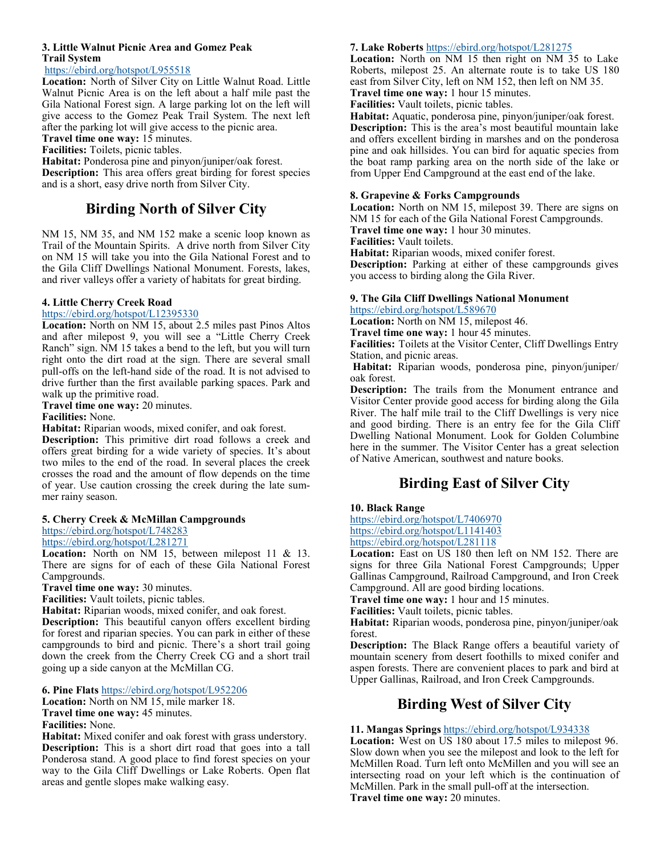### **3. Little Walnut Picnic Area and Gomez Peak Trail System**

<https://ebird.org/hotspot/L955518>

**Location:** North of Silver City on Little Walnut Road. Little Walnut Picnic Area is on the left about a half mile past the Gila National Forest sign. A large parking lot on the left will give access to the Gomez Peak Trail System. The next left after the parking lot will give access to the picnic area.

**Travel time one way:** 15 minutes.

**Facilities:** Toilets, picnic tables.

**Habitat:** Ponderosa pine and pinyon/juniper/oak forest. **Description:** This area offers great birding for forest species and is a short, easy drive north from Silver City.

# **Birding North of Silver City**

NM 15, NM 35, and NM 152 make a scenic loop known as Trail of the Mountain Spirits. A drive north from Silver City on NM 15 will take you into the Gila National Forest and to the Gila Cliff Dwellings National Monument. Forests, lakes, and river valleys offer a variety of habitats for great birding.

## **4. Little Cherry Creek Road**

<https://ebird.org/hotspot/L12395330>

**Location:** North on NM 15, about 2.5 miles past Pinos Altos and after milepost 9, you will see a "Little Cherry Creek Ranch" sign. NM 15 takes a bend to the left, but you will turn right onto the dirt road at the sign. There are several small pull-offs on the left-hand side of the road. It is not advised to drive further than the first available parking spaces. Park and walk up the primitive road.

**Travel time one way:** 20 minutes.

**Facilities:** None.

**Habitat:** Riparian woods, mixed conifer, and oak forest.

**Description:** This primitive dirt road follows a creek and offers great birding for a wide variety of species. It's about two miles to the end of the road. In several places the creek crosses the road and the amount of flow depends on the time of year. Use caution crossing the creek during the late summer rainy season.

## **5. Cherry Creek & McMillan Campgrounds**

<https://ebird.org/hotspot/L748283>

<https://ebird.org/hotspot/L281271>

**Location:** North on NM 15, between milepost 11 & 13. There are signs for of each of these Gila National Forest Campgrounds.

**Travel time one way:** 30 minutes.

**Facilities:** Vault toilets, picnic tables.

**Habitat:** Riparian woods, mixed conifer, and oak forest.

**Description:** This beautiful canyon offers excellent birding for forest and riparian species. You can park in either of these campgrounds to bird and picnic. There's a short trail going down the creek from the Cherry Creek CG and a short trail going up a side canyon at the McMillan CG.

**6. Pine Flats** <https://ebird.org/hotspot/L952206>

**Location:** North on NM 15, mile marker 18.

**Travel time one way:** 45 minutes.

**Facilities:** None.

**Habitat:** Mixed conifer and oak forest with grass understory. **Description:** This is a short dirt road that goes into a tall Ponderosa stand. A good place to find forest species on your way to the Gila Cliff Dwellings or Lake Roberts. Open flat areas and gentle slopes make walking easy.

### **7. Lake Roberts** <https://ebird.org/hotspot/L281275>

**Location:** North on NM 15 then right on NM 35 to Lake Roberts, milepost 25. An alternate route is to take US 180 east from Silver City, left on NM 152, then left on NM 35.

**Travel time one way:** 1 hour 15 minutes.

**Facilities:** Vault toilets, picnic tables.

**Habitat:** Aquatic, ponderosa pine, pinyon/juniper/oak forest. **Description:** This is the area's most beautiful mountain lake and offers excellent birding in marshes and on the ponderosa pine and oak hillsides. You can bird for aquatic species from the boat ramp parking area on the north side of the lake or from Upper End Campground at the east end of the lake.

### **8. Grapevine & Forks Campgrounds**

**Location:** North on NM 15, milepost 39. There are signs on NM 15 for each of the Gila National Forest Campgrounds. **Travel time one way:** 1 hour 30 minutes. **Facilities:** Vault toilets.

**Habitat:** Riparian woods, mixed conifer forest.

**Description:** Parking at either of these campgrounds gives you access to birding along the Gila River.

# **9. The Gila Cliff Dwellings National Monument**

<https://ebird.org/hotspot/L589670>

**Location:** North on NM 15, milepost 46.

**Travel time one way:** 1 hour 45 minutes.

**Facilities:** Toilets at the Visitor Center, Cliff Dwellings Entry Station, and picnic areas.

**Habitat:** Riparian woods, ponderosa pine, pinyon/juniper/ oak forest.

**Description:** The trails from the Monument entrance and Visitor Center provide good access for birding along the Gila River. The half mile trail to the Cliff Dwellings is very nice and good birding. There is an entry fee for the Gila Cliff Dwelling National Monument. Look for Golden Columbine here in the summer. The Visitor Center has a great selection of Native American, southwest and nature books.

# **Birding East of Silver City**

## **10. Black Range**

<https://ebird.org/hotspot/L7406970> <https://ebird.org/hotspot/L1141403> <https://ebird.org/hotspot/L281118>

**Location:** East on US 180 then left on NM 152. There are signs for three Gila National Forest Campgrounds; Upper Gallinas Campground, Railroad Campground, and Iron Creek Campground. All are good birding locations.

**Travel time one way:** 1 hour and 15 minutes.

**Facilities:** Vault toilets, picnic tables.

**Habitat:** Riparian woods, ponderosa pine, pinyon/juniper/oak forest.

**Description:** The Black Range offers a beautiful variety of mountain scenery from desert foothills to mixed conifer and aspen forests. There are convenient places to park and bird at Upper Gallinas, Railroad, and Iron Creek Campgrounds.

## **Birding West of Silver City**

## **11. Mangas Springs** <https://ebird.org/hotspot/L934338>

Location: West on US 180 about 17.5 miles to milepost 96. Slow down when you see the milepost and look to the left for McMillen Road. Turn left onto McMillen and you will see an intersecting road on your left which is the continuation of McMillen. Park in the small pull-off at the intersection. **Travel time one way:** 20 minutes.